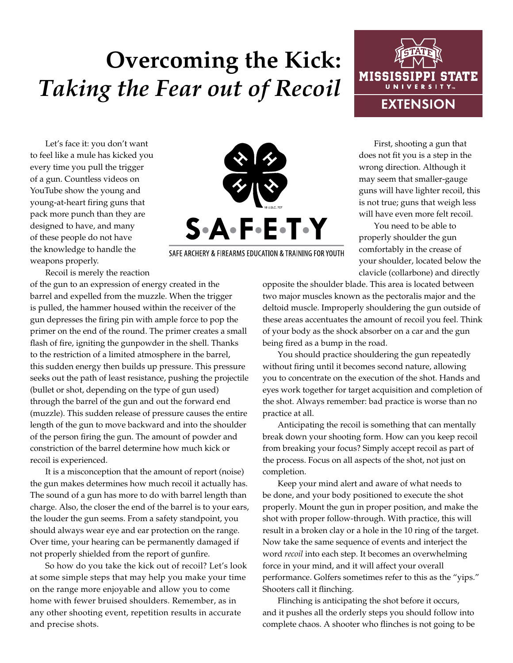## **Overcoming the Kick:**  *Taking the Fear out of Recoil*

Let's face it: you don't want to feel like a mule has kicked you every time you pull the trigger of a gun. Countless videos on YouTube show the young and young-at-heart firing guns that pack more punch than they are designed to have, and many of these people do not have the knowledge to handle the weapons properly.

Recoil is merely the reaction

of the gun to an expression of energy created in the barrel and expelled from the muzzle. When the trigger is pulled, the hammer housed within the receiver of the gun depresses the firing pin with ample force to pop the primer on the end of the round. The primer creates a small flash of fire, igniting the gunpowder in the shell. Thanks to the restriction of a limited atmosphere in the barrel, this sudden energy then builds up pressure. This pressure seeks out the path of least resistance, pushing the projectile (bullet or shot, depending on the type of gun used) through the barrel of the gun and out the forward end (muzzle). This sudden release of pressure causes the entire length of the gun to move backward and into the shoulder of the person firing the gun. The amount of powder and constriction of the barrel determine how much kick or recoil is experienced.

It is a misconception that the amount of report (noise) the gun makes determines how much recoil it actually has. The sound of a gun has more to do with barrel length than charge. Also, the closer the end of the barrel is to your ears, the louder the gun seems. From a safety standpoint, you should always wear eye and ear protection on the range. Over time, your hearing can be permanently damaged if not properly shielded from the report of gunfire.

So how do you take the kick out of recoil? Let's look at some simple steps that may help you make your time on the range more enjoyable and allow you to come home with fewer bruised shoulders. Remember, as in any other shooting event, repetition results in accurate and precise shots.

SAFE ARCHERY & FIREARMS EDUCATION & TRAINING FOR YOUTH

First, shooting a gun that does not fit you is a step in the wrong direction. Although it

may seem that smaller-gauge guns will have lighter recoil, this is not true; guns that weigh less will have even more felt recoil.

You need to be able to properly shoulder the gun comfortably in the crease of your shoulder, located below the clavicle (collarbone) and directly

opposite the shoulder blade. This area is located between two major muscles known as the pectoralis major and the deltoid muscle. Improperly shouldering the gun outside of these areas accentuates the amount of recoil you feel. Think of your body as the shock absorber on a car and the gun being fired as a bump in the road.

You should practice shouldering the gun repeatedly without firing until it becomes second nature, allowing you to concentrate on the execution of the shot. Hands and eyes work together for target acquisition and completion of the shot. Always remember: bad practice is worse than no practice at all.

Anticipating the recoil is something that can mentally break down your shooting form. How can you keep recoil from breaking your focus? Simply accept recoil as part of the process. Focus on all aspects of the shot, not just on completion.

Keep your mind alert and aware of what needs to be done, and your body positioned to execute the shot properly. Mount the gun in proper position, and make the shot with proper follow-through. With practice, this will result in a broken clay or a hole in the 10 ring of the target. Now take the same sequence of events and interject the word *recoil* into each step. It becomes an overwhelming force in your mind, and it will affect your overall performance. Golfers sometimes refer to this as the "yips." Shooters call it flinching.

Flinching is anticipating the shot before it occurs, and it pushes all the orderly steps you should follow into complete chaos. A shooter who flinches is not going to be